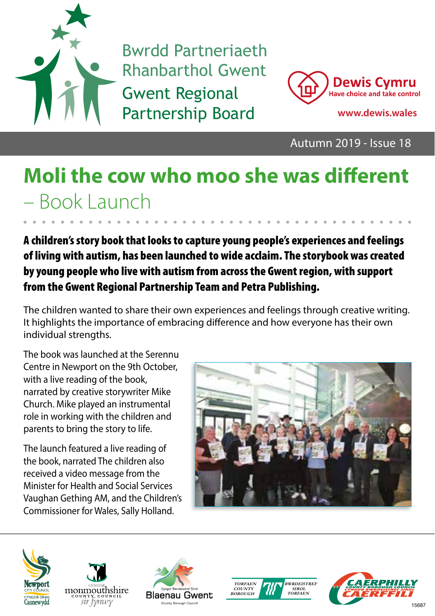

Bwrdd Partneriaeth Rhanbarthol Gwent Gwent Regional Partnership Board **www.dewis.wales**



Autumn 2019 - Issue 18

# **Moli the cow who moo she was different**  – Book Launch

A children's story book that looks to capture young people's experiences and feelings of living with autism, has been launched to wide acclaim. The storybook was created by young people who live with autism from across the Gwent region, with support from the Gwent Regional Partnership Team and Petra Publishing.

The children wanted to share their own experiences and feelings through creative writing. It highlights the importance of embracing difference and how everyone has their own individual strengths.

The book was launched at the Serennu Centre in Newport on the 9th October, with a live reading of the book, narrated by creative storywriter Mike Church. Mike played an instrumental role in working with the children and parents to bring the story to life.

The launch featured a live reading of the book, narrated The children also received a video message from the Minister for Health and Social Services Vaughan Gething AM, and the Children's Commissioner for Wales, Sally Holland.











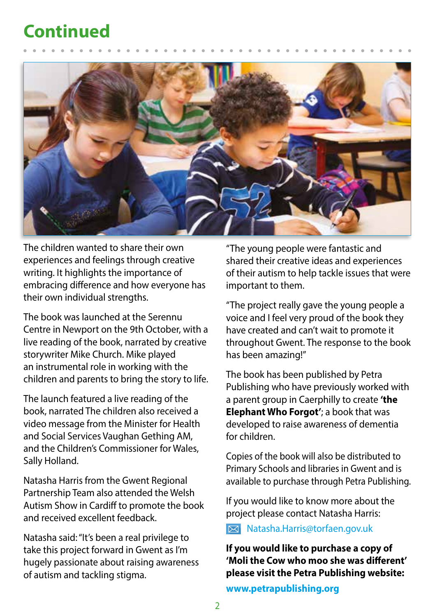#### **Continued**



The children wanted to share their own experiences and feelings through creative writing. It highlights the importance of embracing difference and how everyone has their own individual strengths.

The book was launched at the Serennu Centre in Newport on the 9th October, with a live reading of the book, narrated by creative storywriter Mike Church. Mike played an instrumental role in working with the children and parents to bring the story to life.

The launch featured a live reading of the book, narrated The children also received a video message from the Minister for Health and Social Services Vaughan Gething AM, and the Children's Commissioner for Wales, Sally Holland.

Natasha Harris from the Gwent Regional Partnership Team also attended the Welsh Autism Show in Cardiff to promote the book and received excellent feedback.

Natasha said: "It's been a real privilege to take this project forward in Gwent as I'm hugely passionate about raising awareness of autism and tackling stigma.

"The young people were fantastic and shared their creative ideas and experiences of their autism to help tackle issues that were important to them.

"The project really gave the young people a voice and I feel very proud of the book they have created and can't wait to promote it throughout Gwent. The response to the book has been amazing!"

The book has been published by Petra Publishing who have previously worked with a parent group in Caerphilly to create **'the Elephant Who Forgot'**; a book that was developed to raise awareness of dementia for children.

Copies of the book will also be distributed to Primary Schools and libraries in Gwent and is available to purchase through Petra Publishing.

If you would like to know more about the project please contact Natasha Harris:

Natasha.Harris@torfaen.gov.uk

**If you would like to purchase a copy of 'Moli the Cow who moo she was different' please visit the Petra Publishing website:** 

**www.petrapublishing.org**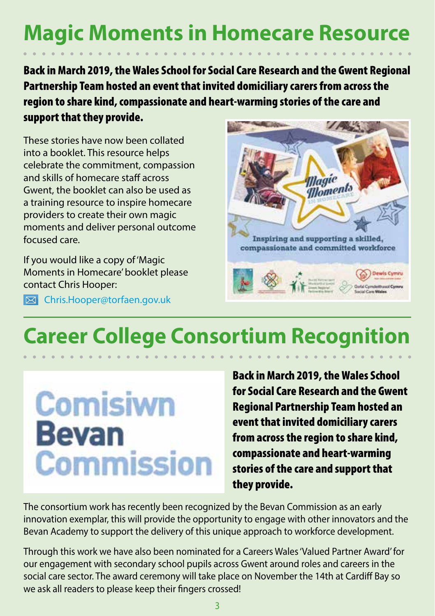### **Magic Moments in Homecare Resource**

Back in March 2019, the Wales School for Social Care Research and the Gwent Regional Partnership Team hosted an event that invited domiciliary carers from across the region to share kind, compassionate and heart-warming stories of the care and support that they provide.

These stories have now been collated into a booklet. This resource helps celebrate the commitment, compassion and skills of homecare staff across Gwent, the booklet can also be used as a training resource to inspire homecare providers to create their own magic moments and deliver personal outcome focused care.

If you would like a copy of 'Magic Moments in Homecare' booklet please contact Chris Hooper:

Chris.Hooper@torfaen.gov.uk



# **Career College Consortium Recognition**

# **Comisiwn Bevan Commission**

Back in March 2019, the Wales School for Social Care Research and the Gwent Regional Partnership Team hosted an event that invited domiciliary carers from across the region to share kind, compassionate and heart-warming stories of the care and support that they provide.

The consortium work has recently been recognized by the Bevan Commission as an early innovation exemplar, this will provide the opportunity to engage with other innovators and the Bevan Academy to support the delivery of this unique approach to workforce development.

Through this work we have also been nominated for a Careers Wales 'Valued Partner Award' for our engagement with secondary school pupils across Gwent around roles and careers in the social care sector. The award ceremony will take place on November the 14th at Cardiff Bay so we ask all readers to please keep their fingers crossed!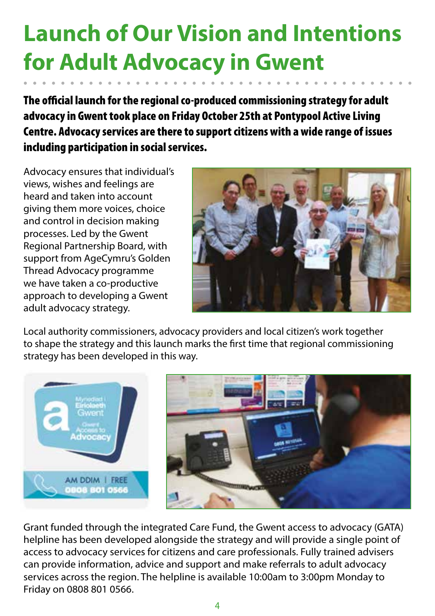# **Launch of Our Vision and Intentions for Adult Advocacy in Gwent**

The official launch for the regional co-produced commissioning strategy for adult advocacy in Gwent took place on Friday October 25th at Pontypool Active Living Centre. Advocacy services are there to support citizens with a wide range of issues including participation in social services.

Advocacy ensures that individual's views, wishes and feelings are heard and taken into account giving them more voices, choice and control in decision making processes. Led by the Gwent Regional Partnership Board, with support from AgeCymru's Golden Thread Advocacy programme we have taken a co-productive approach to developing a Gwent adult advocacy strategy.



Local authority commissioners, advocacy providers and local citizen's work together to shape the strategy and this launch marks the first time that regional commissioning strategy has been developed in this way.



Grant funded through the integrated Care Fund, the Gwent access to advocacy (GATA) helpline has been developed alongside the strategy and will provide a single point of access to advocacy services for citizens and care professionals. Fully trained advisers can provide information, advice and support and make referrals to adult advocacy services across the region. The helpline is available 10:00am to 3:00pm Monday to Friday on 0808 801 0566.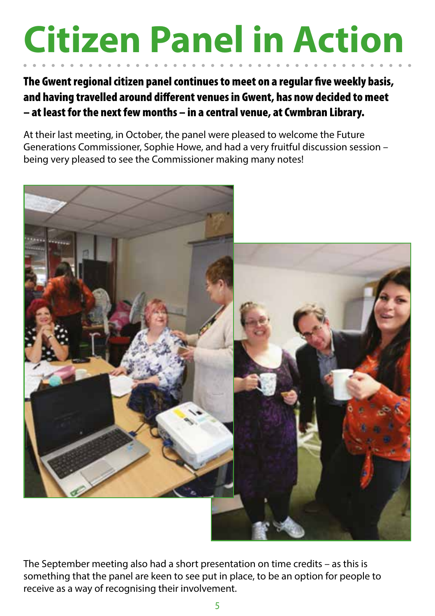# **Citizen Panel in Action**

The Gwent regional citizen panel continues to meet on a regular five weekly basis, and having travelled around different venues in Gwent, has now decided to meet – at least for the next few months – in a central venue, at Cwmbran Library.

At their last meeting, in October, the panel were pleased to welcome the Future Generations Commissioner, Sophie Howe, and had a very fruitful discussion session – being very pleased to see the Commissioner making many notes!



The September meeting also had a short presentation on time credits – as this is something that the panel are keen to see put in place, to be an option for people to receive as a way of recognising their involvement.